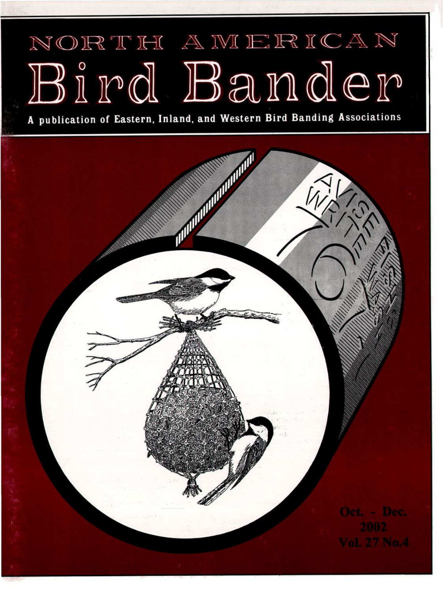## NORTH AMERICAN Bird Bander

A publication of Eastern, Inland, and Western Bird Banding Associations